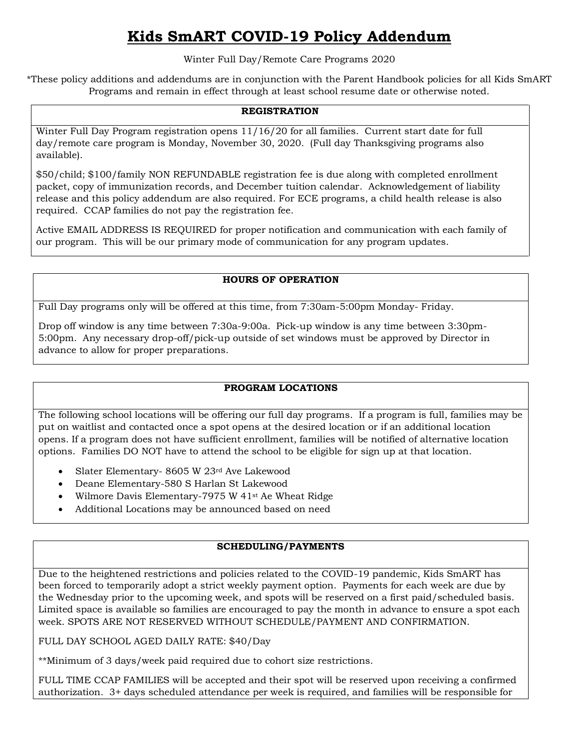# **Kids SmART COVID-19 Policy Addendum**

Winter Full Day/Remote Care Programs 2020

\*These policy additions and addendums are in conjunction with the Parent Handbook policies for all Kids SmART Programs and remain in effect through at least school resume date or otherwise noted.

## **REGISTRATION**

Winter Full Day Program registration opens 11/16/20 for all families. Current start date for full day/remote care program is Monday, November 30, 2020. (Full day Thanksgiving programs also available).

\$50/child; \$100/family NON REFUNDABLE registration fee is due along with completed enrollment packet, copy of immunization records, and December tuition calendar. Acknowledgement of liability release and this policy addendum are also required. For ECE programs, a child health release is also required. CCAP families do not pay the registration fee.

Active EMAIL ADDRESS IS REQUIRED for proper notification and communication with each family of our program. This will be our primary mode of communication for any program updates.

# **HOURS OF OPERATION**

Full Day programs only will be offered at this time, from 7:30am-5:00pm Monday- Friday.

Drop off window is any time between 7:30a-9:00a. Pick-up window is any time between 3:30pm-5:00pm. Any necessary drop-off/pick-up outside of set windows must be approved by Director in advance to allow for proper preparations.

## **PROGRAM LOCATIONS**

The following school locations will be offering our full day programs. If a program is full, families may be put on waitlist and contacted once a spot opens at the desired location or if an additional location opens. If a program does not have sufficient enrollment, families will be notified of alternative location options. Families DO NOT have to attend the school to be eligible for sign up at that location.

- Slater Elementary- 8605 W 23rd Ave Lakewood
- Deane Elementary-580 S Harlan St Lakewood
- Wilmore Davis Elementary-7975 W 41<sup>st</sup> Ae Wheat Ridge
- Additional Locations may be announced based on need

## **SCHEDULING/PAYMENTS**

Due to the heightened restrictions and policies related to the COVID-19 pandemic, Kids SmART has been forced to temporarily adopt a strict weekly payment option. Payments for each week are due by the Wednesday prior to the upcoming week, and spots will be reserved on a first paid/scheduled basis. Limited space is available so families are encouraged to pay the month in advance to ensure a spot each week. SPOTS ARE NOT RESERVED WITHOUT SCHEDULE/PAYMENT AND CONFIRMATION.

FULL DAY SCHOOL AGED DAILY RATE: \$40/Day

\*\*Minimum of 3 days/week paid required due to cohort size restrictions.

FULL TIME CCAP FAMILIES will be accepted and their spot will be reserved upon receiving a confirmed authorization. 3+ days scheduled attendance per week is required, and families will be responsible for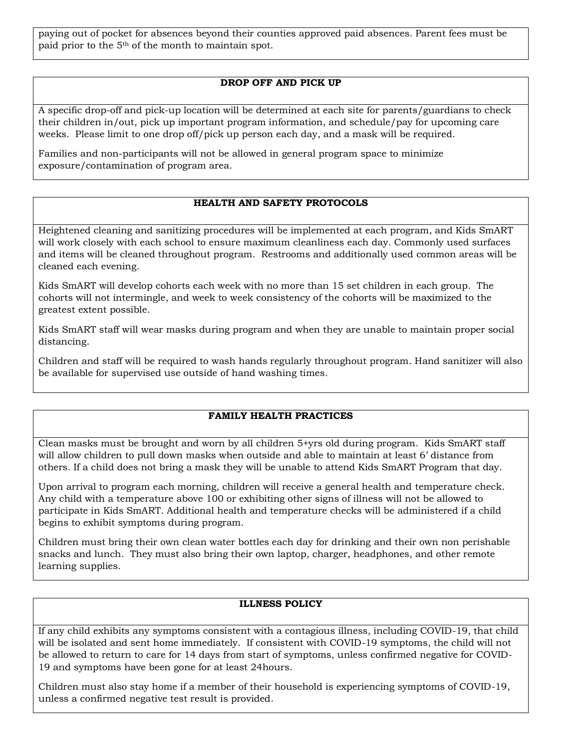paying out of pocket for absences beyond their counties approved paid absences. Parent fees must be paid prior to the 5th of the month to maintain spot.

# **DROP OFF AND PICK UP**

A specific drop-off and pick-up location will be determined at each site for parents/guardians to check their children in/out, pick up important program information, and schedule/pay for upcoming care weeks. Please limit to one drop off/pick up person each day, and a mask will be required.

Families and non-participants will not be allowed in general program space to minimize exposure/contamination of program area.

# **HEALTH AND SAFETY PROTOCOLS**

Heightened cleaning and sanitizing procedures will be implemented at each program, and Kids SmART will work closely with each school to ensure maximum cleanliness each day. Commonly used surfaces and items will be cleaned throughout program. Restrooms and additionally used common areas will be cleaned each evening.

Kids SmART will develop cohorts each week with no more than 15 set children in each group. The cohorts will not intermingle, and week to week consistency of the cohorts will be maximized to the greatest extent possible.

Kids SmART staff will wear masks during program and when they are unable to maintain proper social distancing.

Children and staff will be required to wash hands regularly throughout program. Hand sanitizer will also be available for supervised use outside of hand washing times.

## **FAMILY HEALTH PRACTICES**

Clean masks must be brought and worn by all children 5+yrs old during program. Kids SmART staff will allow children to pull down masks when outside and able to maintain at least 6' distance from others. If a child does not bring a mask they will be unable to attend Kids SmART Program that day.

Upon arrival to program each morning, children will receive a general health and temperature check. Any child with a temperature above 100 or exhibiting other signs of illness will not be allowed to participate in Kids SmART. Additional health and temperature checks will be administered if a child begins to exhibit symptoms during program.

Children must bring their own clean water bottles each day for drinking and their own non perishable snacks and lunch. They must also bring their own laptop, charger, headphones, and other remote learning supplies.

## **ILLNESS POLICY**

If any child exhibits any symptoms consistent with a contagious illness, including COVID-19, that child will be isolated and sent home immediately. If consistent with COVID-19 symptoms, the child will not be allowed to return to care for 14 days from start of symptoms, unless confirmed negative for COVID-19 and symptoms have been gone for at least 24hours.

Children must also stay home if a member of their household is experiencing symptoms of COVID-19, unless a confirmed negative test result is provided.